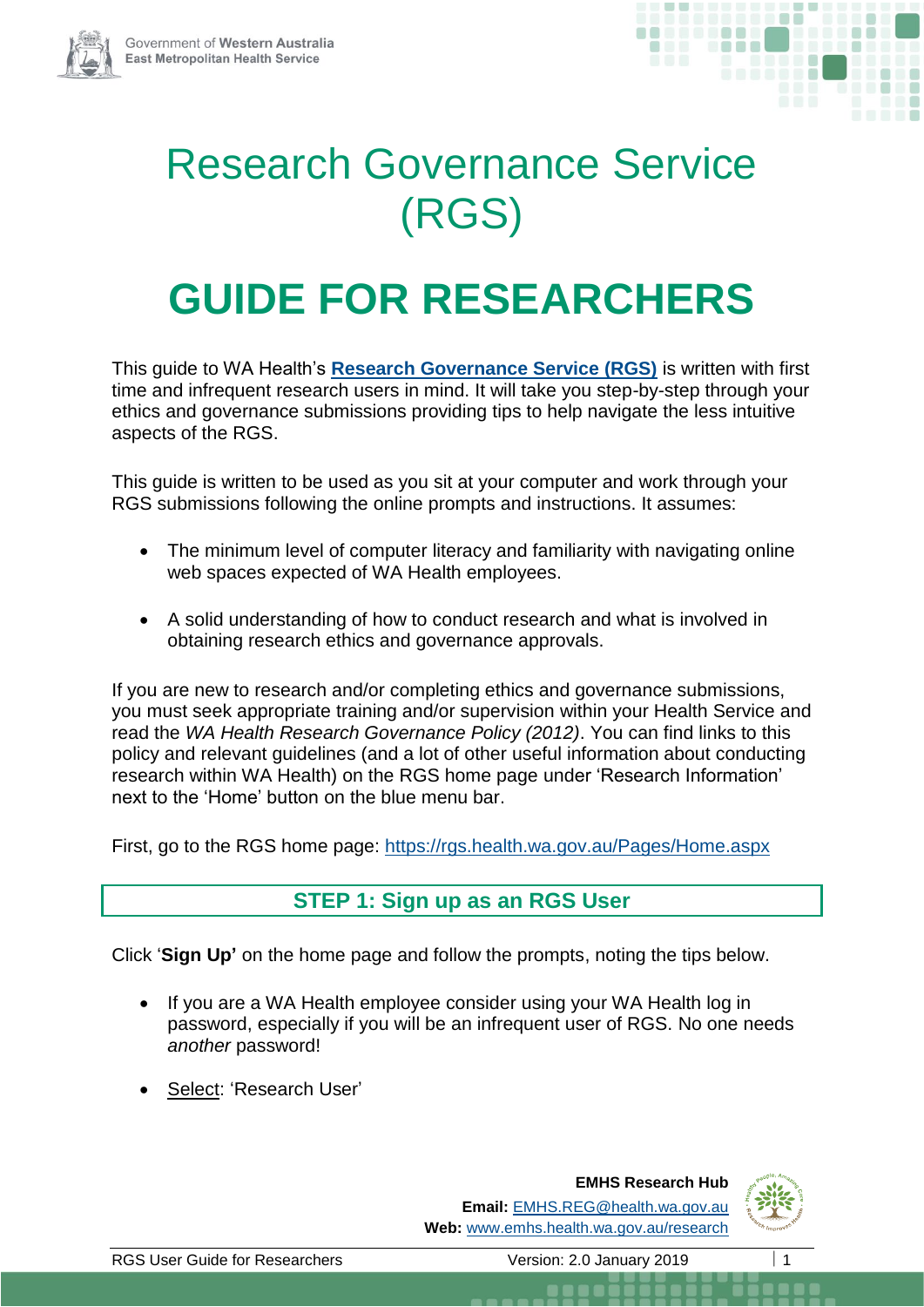

# Research Governance Service (RGS)

# **GUIDE FOR RESEARCHERS**

This guide to WA Health's **[Research Governance Service \(RGS\)](https://rgs.health.wa.gov.au/Pages/Home.aspx)** is written with first time and infrequent research users in mind. It will take you step-by-step through your ethics and governance submissions providing tips to help navigate the less intuitive aspects of the RGS.

This guide is written to be used as you sit at your computer and work through your RGS submissions following the online prompts and instructions. It assumes:

- The minimum level of computer literacy and familiarity with navigating online web spaces expected of WA Health employees.
- A solid understanding of how to conduct research and what is involved in obtaining research ethics and governance approvals.

If you are new to research and/or completing ethics and governance submissions, you must seek appropriate training and/or supervision within your Health Service and read the *WA Health Research Governance Policy (2012)*. You can find links to this policy and relevant guidelines (and a lot of other useful information about conducting research within WA Health) on the RGS home page under 'Research Information' next to the 'Home' button on the blue menu bar.

First, go to the RGS home page:<https://rgs.health.wa.gov.au/Pages/Home.aspx>

# **STEP 1: Sign up as an RGS User**

Click '**Sign Up'** on the home page and follow the prompts, noting the tips below.

- If you are a WA Health employee consider using your WA Health log in password, especially if you will be an infrequent user of RGS. No one needs *another* password!
- Select: 'Research User'

**EMHS Research Hub Email:** [EMHS.REG@health.wa.gov.au](mailto:SMHS.REG@health.wa.gov.au) **Web:** [www.emhs.health.wa.gov.au/research](http://www.emhs.health.wa.gov.au/research)

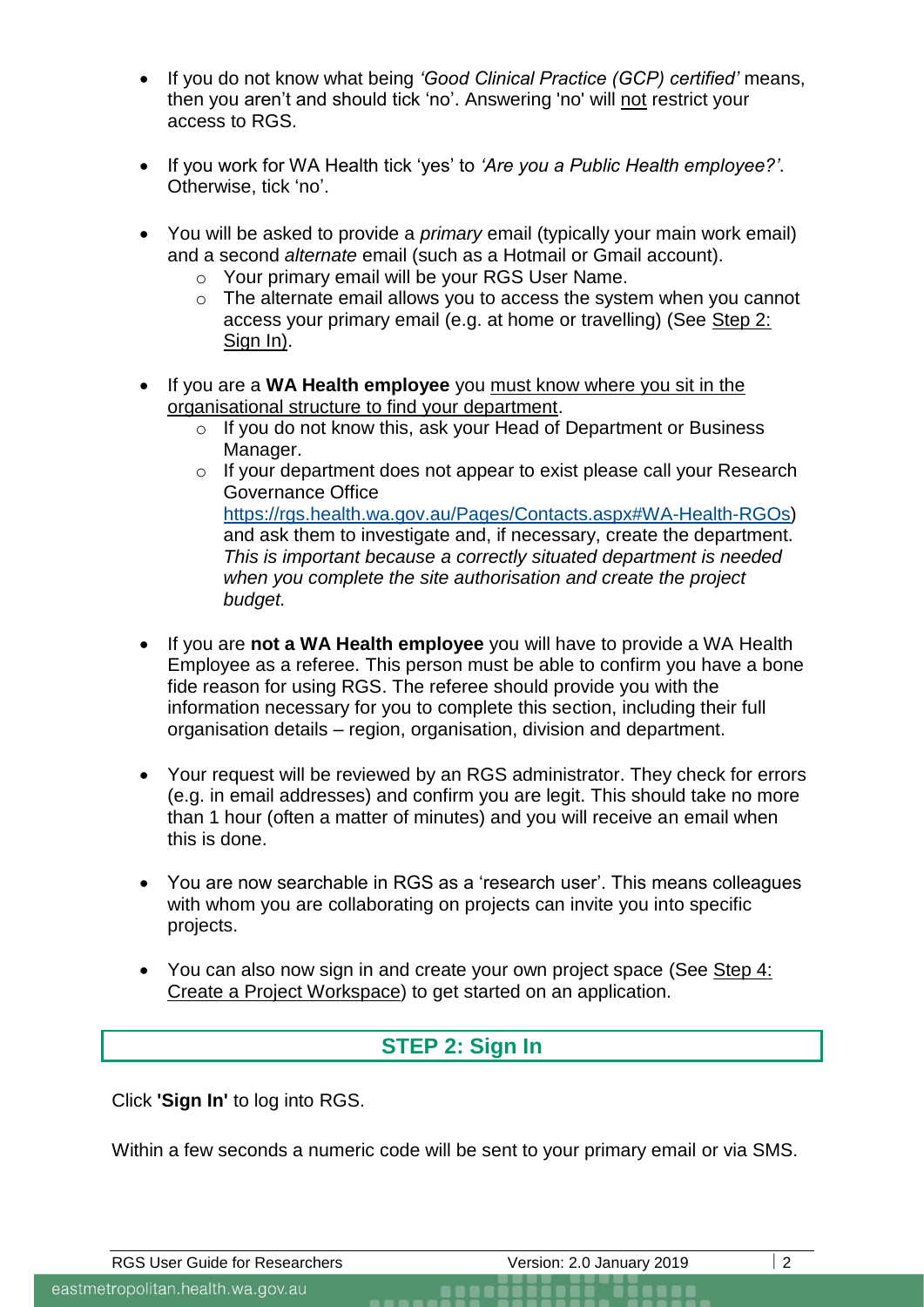- If you do not know what being *'Good Clinical Practice (GCP) certified'* means, then you aren't and should tick 'no'. Answering 'no' will not restrict your access to RGS.
- If you work for WA Health tick 'yes' to *'Are you a Public Health employee?'*. Otherwise, tick 'no'.
- You will be asked to provide a *primary* email (typically your main work email) and a second *alternate* email (such as a Hotmail or Gmail account).
	- o Your primary email will be your RGS User Name.
	- o The alternate email allows you to access the system when you cannot access your primary email (e.g. at home or travelling) (See Step 2: Sign In).
- If you are a **WA Health employee** you must know where you sit in the organisational structure to find your department.
	- o If you do not know this, ask your Head of Department or Business Manager.
	- o If your department does not appear to exist please call your Research Governance Office [https://rgs.health.wa.gov.au/Pages/Contacts.aspx#WA-Health-RGOs\)](https://rgs.health.wa.gov.au/Pages/Contacts.aspx#WA-Health-RGOs) and ask them to investigate and, if necessary, create the department. *This is important because a correctly situated department is needed when you complete the site authorisation and create the project budget.*
- If you are **not a WA Health employee** you will have to provide a WA Health Employee as a referee. This person must be able to confirm you have a bone fide reason for using RGS. The referee should provide you with the information necessary for you to complete this section, including their full organisation details – region, organisation, division and department.
- Your request will be reviewed by an RGS administrator. They check for errors (e.g. in email addresses) and confirm you are legit. This should take no more than 1 hour (often a matter of minutes) and you will receive an email when this is done.
- You are now searchable in RGS as a 'research user'. This means colleagues with whom you are collaborating on projects can invite you into specific projects.
- You can also now sign in and create your own project space (See Step 4: Create a Project Workspace) to get started on an application.

## **STEP 2: Sign In**

Click **'Sign In'** to log into RGS.

Within a few seconds a numeric code will be sent to your primary email or via SMS.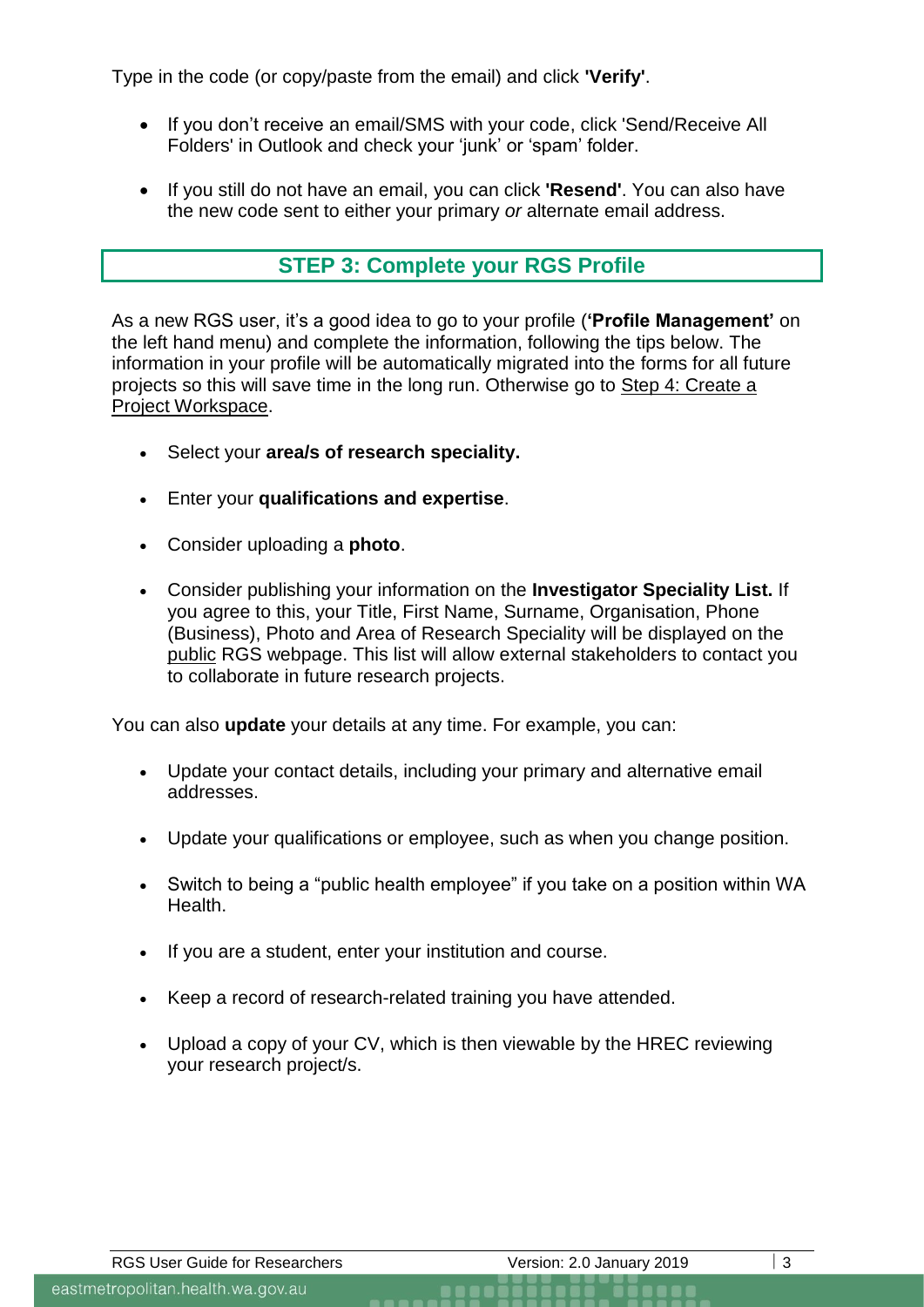Type in the code (or copy/paste from the email) and click **'Verify'**.

- If you don't receive an email/SMS with your code, click 'Send/Receive All Folders' in Outlook and check your 'junk' or 'spam' folder.
- If you still do not have an email, you can click **'Resend'**. You can also have the new code sent to either your primary *or* alternate email address.

## **STEP 3: Complete your RGS Profile**

As a new RGS user, it's a good idea to go to your profile (**'Profile Management'** on the left hand menu) and complete the information, following the tips below. The information in your profile will be automatically migrated into the forms for all future projects so this will save time in the long run. Otherwise go to Step 4: Create a Project Workspace.

- Select your **area/s of research speciality.**
- Enter your **qualifications and expertise**.
- Consider uploading a **photo**.
- Consider publishing your information on the **Investigator Speciality List.** If you agree to this, your Title, First Name, Surname, Organisation, Phone (Business), Photo and Area of Research Speciality will be displayed on the public RGS webpage. This list will allow external stakeholders to contact you to collaborate in future research projects.

You can also **update** your details at any time. For example, you can:

- Update your contact details, including your primary and alternative email addresses.
- Update your qualifications or employee, such as when you change position.
- Switch to being a "public health employee" if you take on a position within WA Health.
- If you are a student, enter your institution and course.
- Keep a record of research-related training you have attended.
- Upload a copy of your CV, which is then viewable by the HREC reviewing your research project/s.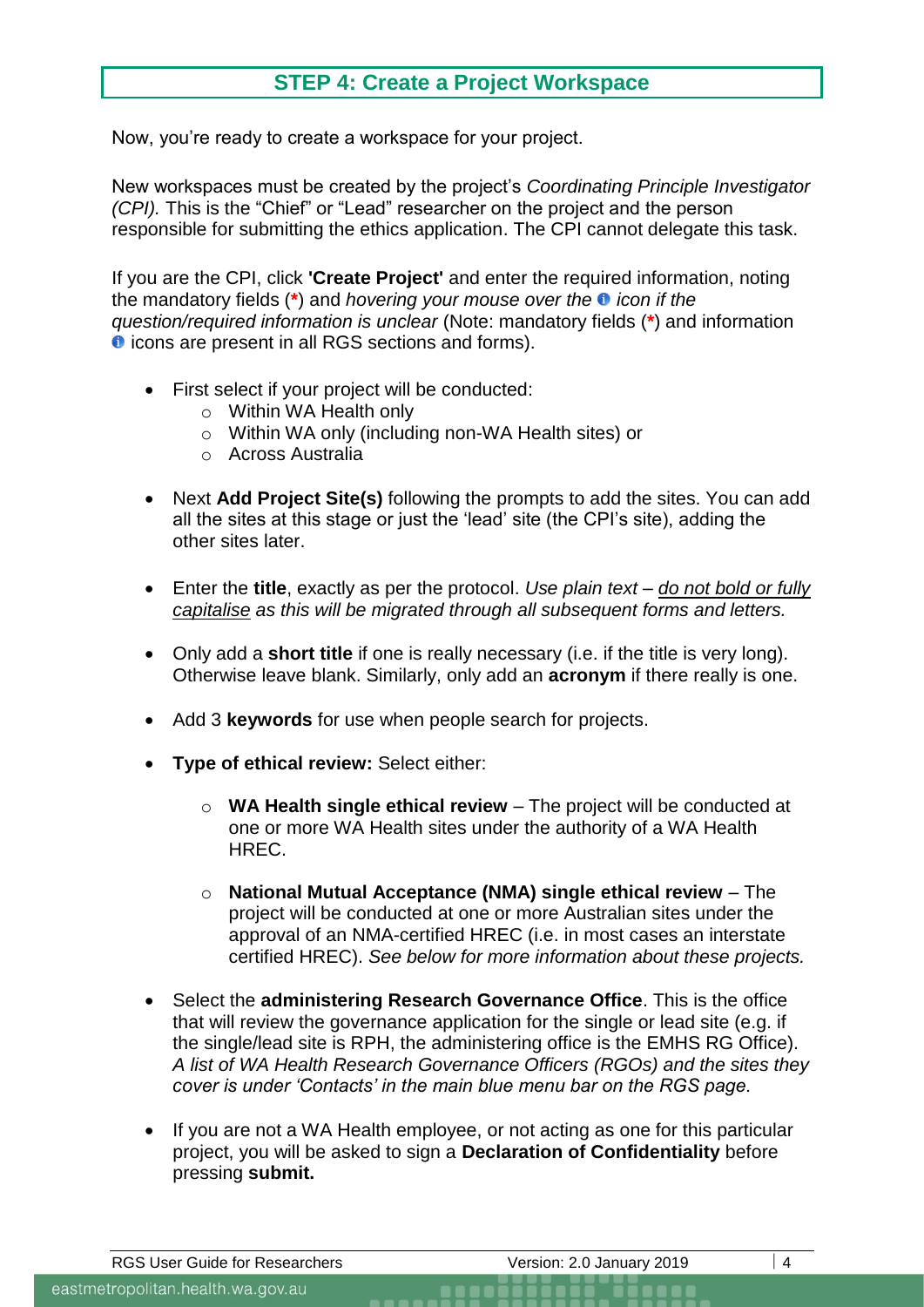## **STEP 4: Create a Project Workspace**

Now, you're ready to create a workspace for your project.

New workspaces must be created by the project's *Coordinating Principle Investigator (CPI).* This is the "Chief" or "Lead" researcher on the project and the person responsible for submitting the ethics application. The CPI cannot delegate this task.

If you are the CPI, click **'Create Project'** and enter the required information, noting the mandatory fields (**\***) and *hovering your mouse over the icon if the question/required information is unclear* (Note: mandatory fields (**\***) and information **O** icons are present in all RGS sections and forms).

- First select if your project will be conducted:
	- o Within WA Health only
	- o Within WA only (including non-WA Health sites) or
	- o Across Australia
- Next **Add Project Site(s)** following the prompts to add the sites. You can add all the sites at this stage or just the 'lead' site (the CPI's site), adding the other sites later.
- Enter the **title**, exactly as per the protocol. *Use plain text – do not bold or fully capitalise as this will be migrated through all subsequent forms and letters.*
- Only add a **short title** if one is really necessary (i.e. if the title is very long). Otherwise leave blank. Similarly, only add an **acronym** if there really is one.
- Add 3 **keywords** for use when people search for projects.
- **Type of ethical review:** Select either:
	- o **WA Health single ethical review** The project will be conducted at one or more WA Health sites under the authority of a WA Health HREC.
	- o **National Mutual Acceptance (NMA) single ethical review** The project will be conducted at one or more Australian sites under the approval of an NMA-certified HREC (i.e. in most cases an interstate certified HREC). *See below for more information about these projects.*
- Select the **administering Research Governance Office**. This is the office that will review the governance application for the single or lead site (e.g. if the single/lead site is RPH, the administering office is the EMHS RG Office). *A list of WA Health Research Governance Officers (RGOs) and the sites they cover is under 'Contacts' in the main blue menu bar on the RGS page.*
- If you are not a WA Health employee, or not acting as one for this particular project, you will be asked to sign a **Declaration of Confidentiality** before pressing **submit.**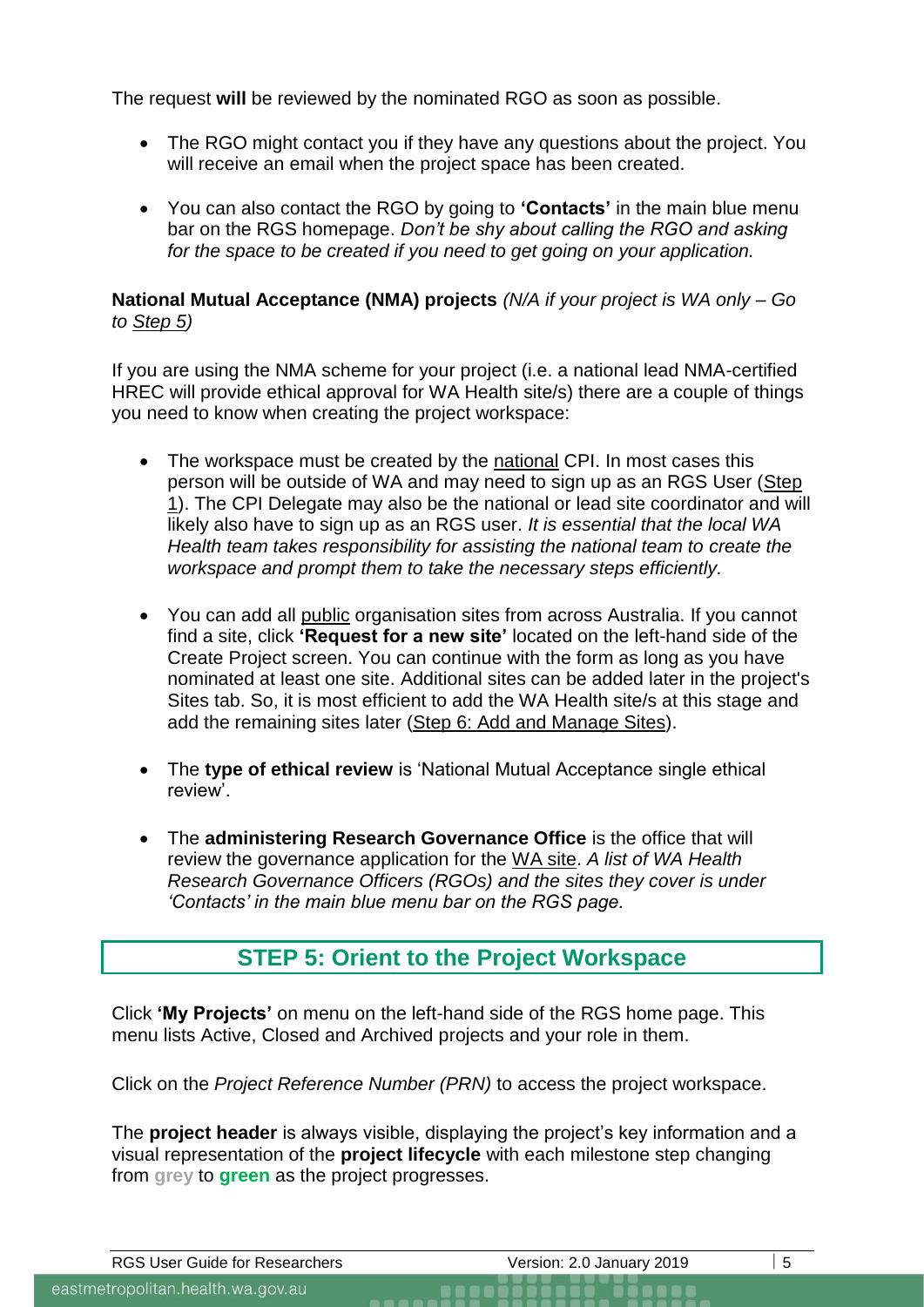The request **will** be reviewed by the nominated RGO as soon as possible.

- The RGO might contact you if they have any questions about the project. You will receive an email when the project space has been created.
- You can also contact the RGO by going to **'Contacts'** in the main blue menu bar on the RGS homepage. *Don't be shy about calling the RGO and asking for the space to be created if you need to get going on your application.*

### **National Mutual Acceptance (NMA) projects** *(N/A if your project is WA only – Go to Step 5)*

If you are using the NMA scheme for your project (i.e. a national lead NMA-certified HREC will provide ethical approval for WA Health site/s) there are a couple of things you need to know when creating the project workspace:

- The workspace must be created by the national CPI. In most cases this person will be outside of WA and may need to sign up as an RGS User (Step 1). The CPI Delegate may also be the national or lead site coordinator and will likely also have to sign up as an RGS user. *It is essential that the local WA Health team takes responsibility for assisting the national team to create the workspace and prompt them to take the necessary steps efficiently.*
- You can add all public organisation sites from across Australia. If you cannot find a site, click **'Request for a new site'** located on the left-hand side of the Create Project screen. You can continue with the form as long as you have nominated at least one site. Additional sites can be added later in the project's Sites tab. So, it is most efficient to add the WA Health site/s at this stage and add the remaining sites later (Step 6: Add and Manage Sites).
- The **type of ethical review** is 'National Mutual Acceptance single ethical review'.
- The **administering Research Governance Office** is the office that will review the governance application for the WA site. *A list of WA Health Research Governance Officers (RGOs) and the sites they cover is under 'Contacts' in the main blue menu bar on the RGS page.*

# **STEP 5: Orient to the Project Workspace**

Click **'My Projects'** on menu on the left-hand side of the RGS home page. This menu lists Active, Closed and Archived projects and your role in them.

Click on the *Project Reference Number (PRN)* to access the project workspace.

The **project header** is always visible, displaying the project's key information and a visual representation of the **project lifecycle** with each milestone step changing from **grey** to **green** as the project progresses.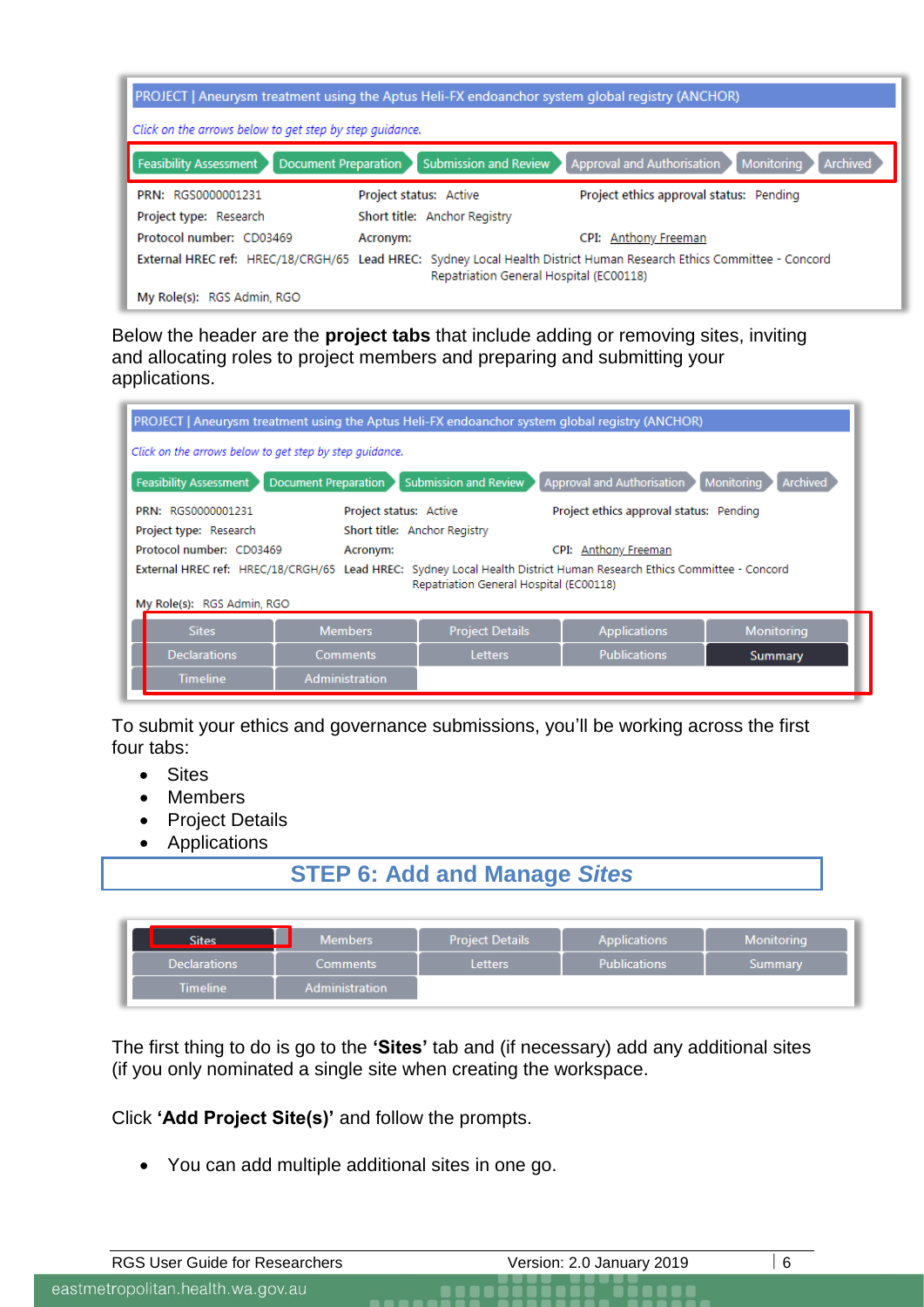| PROJECT   Aneurysm treatment using the Aptus Heli-FX endoanchor system global registry (ANCHOR) |                                                                                                                                                                 |  |  |
|-------------------------------------------------------------------------------------------------|-----------------------------------------------------------------------------------------------------------------------------------------------------------------|--|--|
| Click on the arrows below to get step by step quidance.                                         |                                                                                                                                                                 |  |  |
| <b>Document Preparation</b><br><b>Feasibility Assessment</b>                                    | <b>Submission and Review</b><br>Approval and Authorisation<br>Monitoring<br><b>Archived</b>                                                                     |  |  |
| PRN: RGS0000001231                                                                              | Project ethics approval status: Pending<br>Project status: Active                                                                                               |  |  |
| Project type: Research                                                                          | Short title: Anchor Registry                                                                                                                                    |  |  |
| Protocol number: CD03469                                                                        | CPI: Anthony Freeman<br>Acronym:                                                                                                                                |  |  |
|                                                                                                 | External HREC ref: HREC/18/CRGH/65 Lead HREC: Sydney Local Health District Human Research Ethics Committee - Concord<br>Repatriation General Hospital (EC00118) |  |  |
| My Role(s): RGS Admin, RGO                                                                      |                                                                                                                                                                 |  |  |

Below the header are the **project tabs** that include adding or removing sites, inviting and allocating roles to project members and preparing and submitting your applications.

| PROJECT   Aneurysm treatment using the Aptus Heli-FX endoanchor system global registry (ANCHOR)                                                                 |                             |                              |                                         |                               |
|-----------------------------------------------------------------------------------------------------------------------------------------------------------------|-----------------------------|------------------------------|-----------------------------------------|-------------------------------|
| Click on the arrows below to get step by step quidance.                                                                                                         |                             |                              |                                         |                               |
| <b>Feasibility Assessment</b>                                                                                                                                   | <b>Document Preparation</b> | <b>Submission and Review</b> | Approval and Authorisation              | Monitoring<br><b>Archived</b> |
| PRN: RGS0000001231                                                                                                                                              | Project status: Active      |                              | Project ethics approval status: Pending |                               |
| Project type: Research<br>Short title: Anchor Registry<br>Protocol number: CD03469<br>CPI: Anthony Freeman<br>Acronym:                                          |                             |                              |                                         |                               |
| External HREC ref: HREC/18/CRGH/65 Lead HREC: Sydney Local Health District Human Research Ethics Committee - Concord<br>Repatriation General Hospital (EC00118) |                             |                              |                                         |                               |
| My Role(s): RGS Admin, RGO                                                                                                                                      |                             |                              |                                         |                               |
| <b>Sites</b>                                                                                                                                                    | <b>Members</b>              | <b>Project Details</b>       | <b>Applications</b>                     | Monitoring                    |
| <b>Declarations</b>                                                                                                                                             | <b>Comments</b>             | <b>Letters</b>               | <b>Publications</b>                     | Summary                       |
| <b>Timeline</b>                                                                                                                                                 | Administration              |                              |                                         |                               |

To submit your ethics and governance submissions, you'll be working across the first four tabs:

- Sites
- Members
- Project Details
- Applications

# **STEP 6: Add and Manage** *Sites*

| Sites               | <b>Members</b>  | <b>Project Details</b> | <b>Applications</b> | Monitorina     |
|---------------------|-----------------|------------------------|---------------------|----------------|
| <b>Declarations</b> | <b>Comments</b> | <b>Letters</b>         | <b>Publications</b> | <b>Summary</b> |
| <b>Timeline</b>     | Administration  |                        |                     |                |

The first thing to do is go to the **'Sites'** tab and (if necessary) add any additional sites (if you only nominated a single site when creating the workspace.

Click **'Add Project Site(s)'** and follow the prompts.

• You can add multiple additional sites in one go.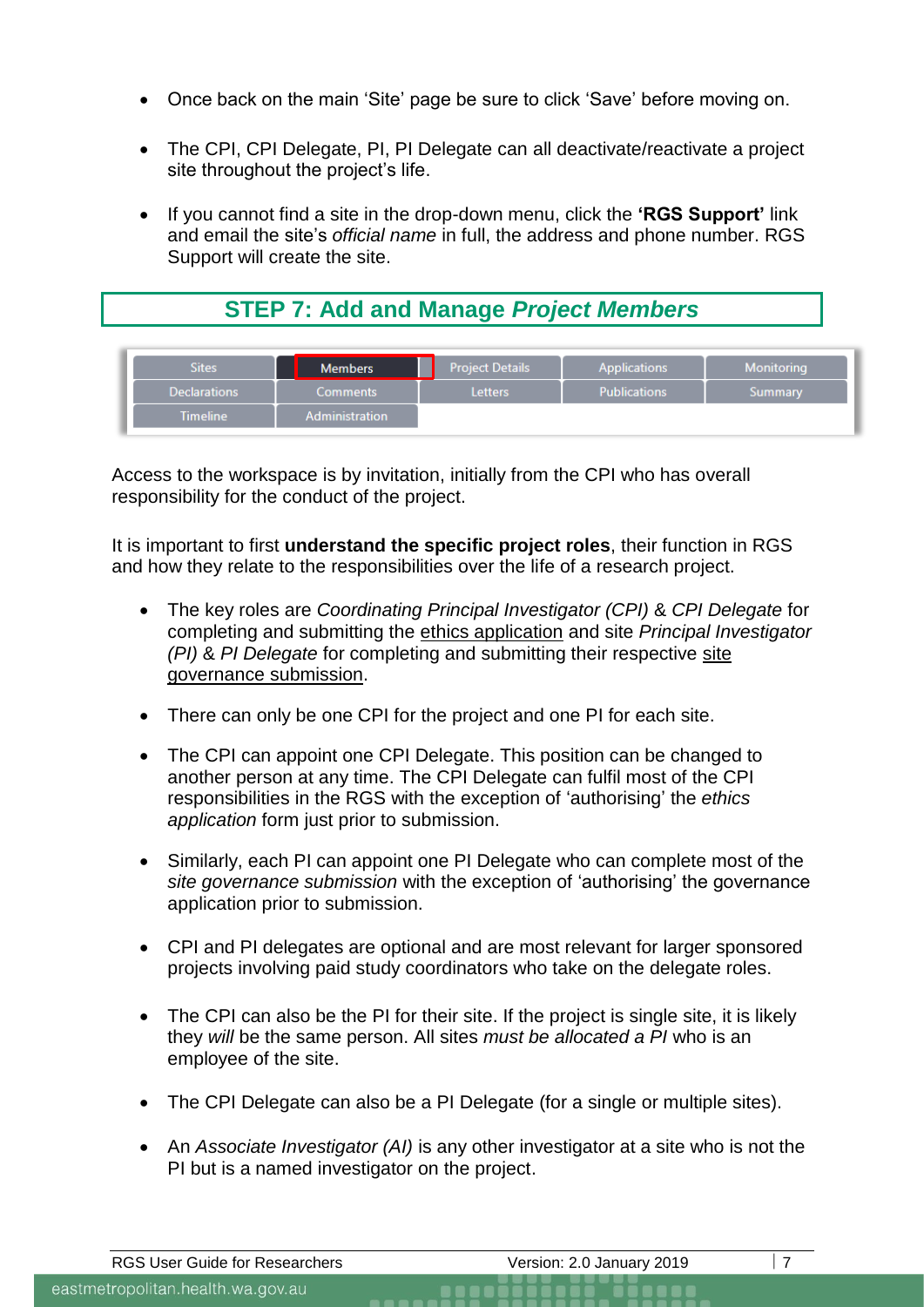- Once back on the main 'Site' page be sure to click 'Save' before moving on.
- The CPI, CPI Delegate, PI, PI Delegate can all deactivate/reactivate a project site throughout the project's life.
- If you cannot find a site in the drop-down menu, click the **'RGS Support'** link and email the site's *official name* in full, the address and phone number. RGS Support will create the site.

# **STEP 7: Add and Manage** *Project Members*

| <b>Sites</b>        | <b>Members</b>        | <b>Project Details</b> | <b>Applications</b> | <b>Monitoring</b> |
|---------------------|-----------------------|------------------------|---------------------|-------------------|
| <b>Declarations</b> | <b>Comments</b>       | <b>Letters</b>         | <b>Publications</b> | Summary           |
| <b>Timeline</b>     | <b>Administration</b> |                        |                     |                   |

Access to the workspace is by invitation, initially from the CPI who has overall responsibility for the conduct of the project.

It is important to first **understand the specific project roles**, their function in RGS and how they relate to the responsibilities over the life of a research project.

- The key roles are *Coordinating Principal Investigator (CPI)* & *CPI Delegate* for completing and submitting the ethics application and site *Principal Investigator (PI)* & *PI Delegate* for completing and submitting their respective site governance submission.
- There can only be one CPI for the project and one PI for each site.
- The CPI can appoint one CPI Delegate. This position can be changed to another person at any time. The CPI Delegate can fulfil most of the CPI responsibilities in the RGS with the exception of 'authorising' the *ethics application* form just prior to submission.
- Similarly, each PI can appoint one PI Delegate who can complete most of the *site governance submission* with the exception of 'authorising' the governance application prior to submission.
- CPI and PI delegates are optional and are most relevant for larger sponsored projects involving paid study coordinators who take on the delegate roles.
- The CPI can also be the PI for their site. If the project is single site, it is likely they *will* be the same person. All sites *must be allocated a PI* who is an employee of the site.
- The CPI Delegate can also be a PI Delegate (for a single or multiple sites).
- An *Associate Investigator (AI)* is any other investigator at a site who is not the PI but is a named investigator on the project.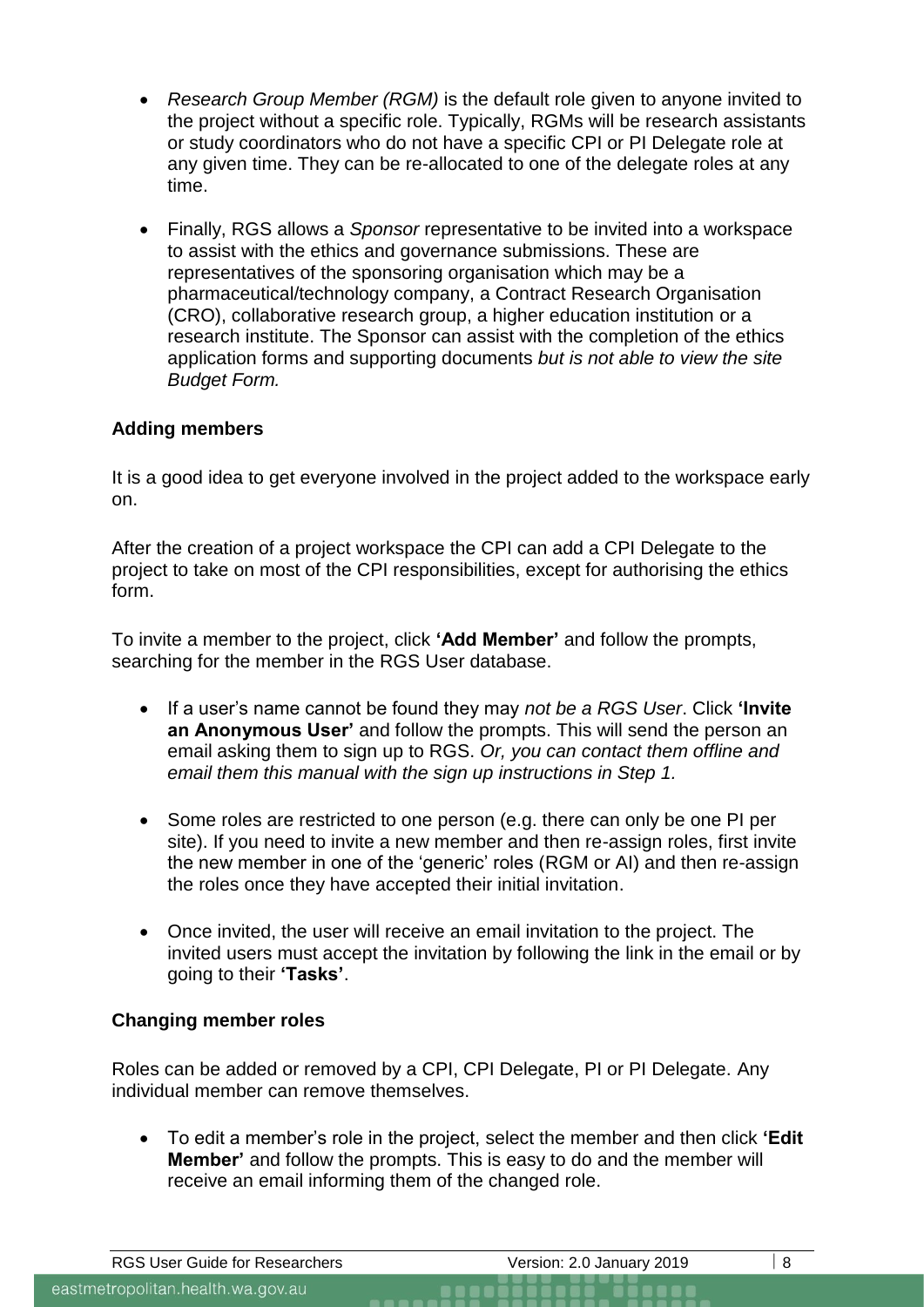- *Research Group Member (RGM)* is the default role given to anyone invited to the project without a specific role. Typically, RGMs will be research assistants or study coordinators who do not have a specific CPI or PI Delegate role at any given time. They can be re-allocated to one of the delegate roles at any time.
- Finally, RGS allows a *Sponsor* representative to be invited into a workspace to assist with the ethics and governance submissions. These are representatives of the sponsoring organisation which may be a pharmaceutical/technology company, a Contract Research Organisation (CRO), collaborative research group, a higher education institution or a research institute. The Sponsor can assist with the completion of the ethics application forms and supporting documents *but is not able to view the site Budget Form.*

## **Adding members**

It is a good idea to get everyone involved in the project added to the workspace early on.

After the creation of a project workspace the CPI can add a CPI Delegate to the project to take on most of the CPI responsibilities, except for authorising the ethics form.

To invite a member to the project, click **'Add Member'** and follow the prompts, searching for the member in the RGS User database.

- If a user's name cannot be found they may *not be a RGS User*. Click **'Invite an Anonymous User'** and follow the prompts. This will send the person an email asking them to sign up to RGS. *Or, you can contact them offline and email them this manual with the sign up instructions in Step 1.*
- Some roles are restricted to one person (e.g. there can only be one PI per site). If you need to invite a new member and then re-assign roles, first invite the new member in one of the 'generic' roles (RGM or AI) and then re-assign the roles once they have accepted their initial invitation.
- Once invited, the user will receive an email invitation to the project. The invited users must accept the invitation by following the link in the email or by going to their **'Tasks'**.

#### **Changing member roles**

Roles can be added or removed by a CPI, CPI Delegate, PI or PI Delegate. Any individual member can remove themselves.

• To edit a member's role in the project, select the member and then click **'Edit Member'** and follow the prompts. This is easy to do and the member will receive an email informing them of the changed role.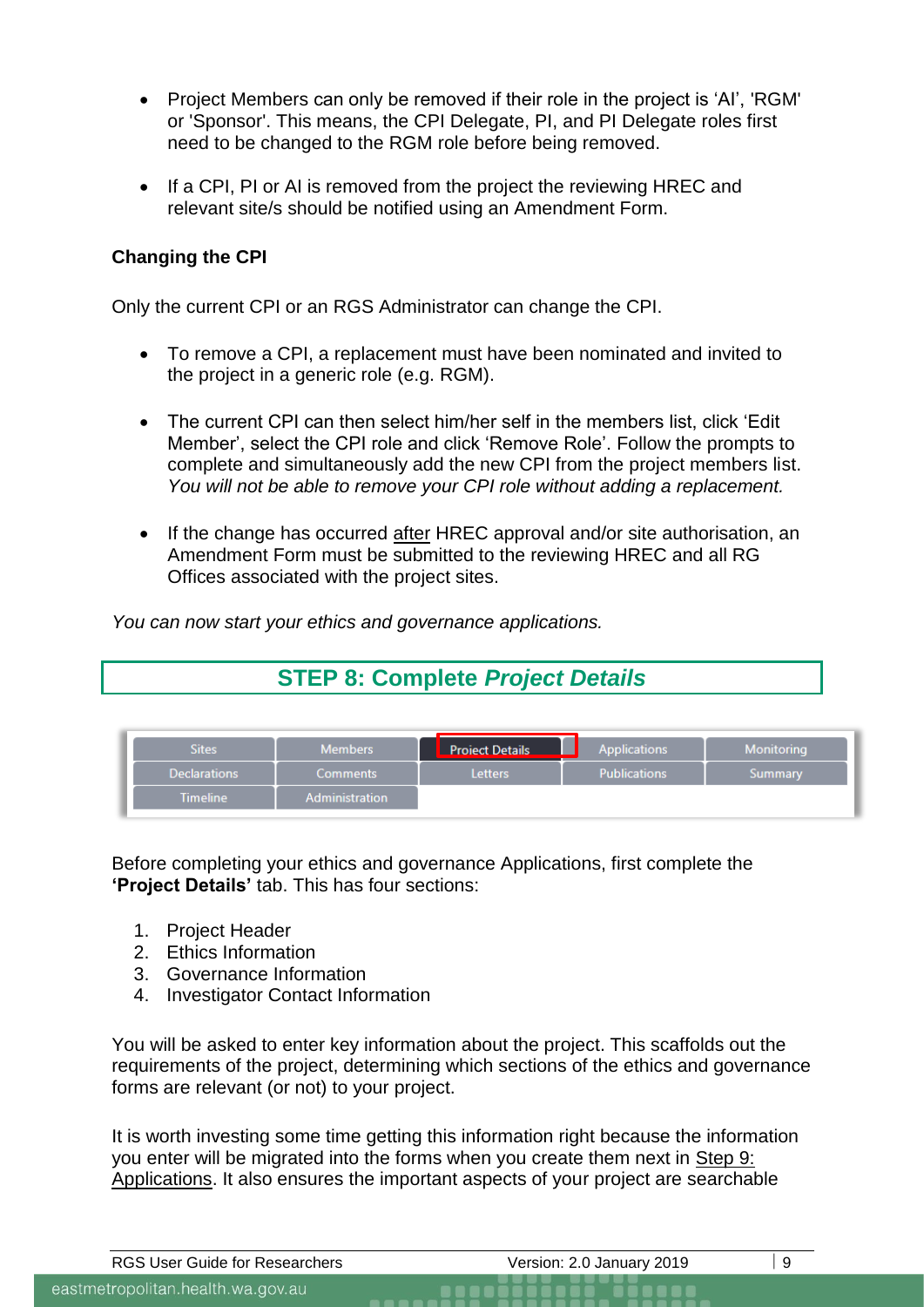- Project Members can only be removed if their role in the project is 'AI', 'RGM' or 'Sponsor'. This means, the CPI Delegate, PI, and PI Delegate roles first need to be changed to the RGM role before being removed.
- If a CPI, PI or AI is removed from the project the reviewing HREC and relevant site/s should be notified using an Amendment Form.

## **Changing the CPI**

Only the current CPI or an RGS Administrator can change the CPI.

- To remove a CPI, a replacement must have been nominated and invited to the project in a generic role (e.g. RGM).
- The current CPI can then select him/her self in the members list, click 'Edit Member', select the CPI role and click 'Remove Role'. Follow the prompts to complete and simultaneously add the new CPI from the project members list. *You will not be able to remove your CPI role without adding a replacement.*
- If the change has occurred after HREC approval and/or site authorisation, an Amendment Form must be submitted to the reviewing HREC and all RG Offices associated with the project sites.

*You can now start your ethics and governance applications.*

# **STEP 8: Complete** *Project Details*

| <b>Sites</b>        | <b>Members</b> | <b>Project Details</b> | <b>Applications</b> | Monitorina |
|---------------------|----------------|------------------------|---------------------|------------|
| <b>Declarations</b> | Comments       | <b>Letters</b>         | <b>Publications</b> | Summary    |
| <b>Timeline</b>     | Administration |                        |                     |            |

Before completing your ethics and governance Applications, first complete the **'Project Details'** tab. This has four sections:

- 1. Project Header
- 2. Ethics Information
- 3. Governance Information
- 4. Investigator Contact Information

You will be asked to enter key information about the project. This scaffolds out the requirements of the project, determining which sections of the ethics and governance forms are relevant (or not) to your project.

It is worth investing some time getting this information right because the information you enter will be migrated into the forms when you create them next in Step 9: Applications. It also ensures the important aspects of your project are searchable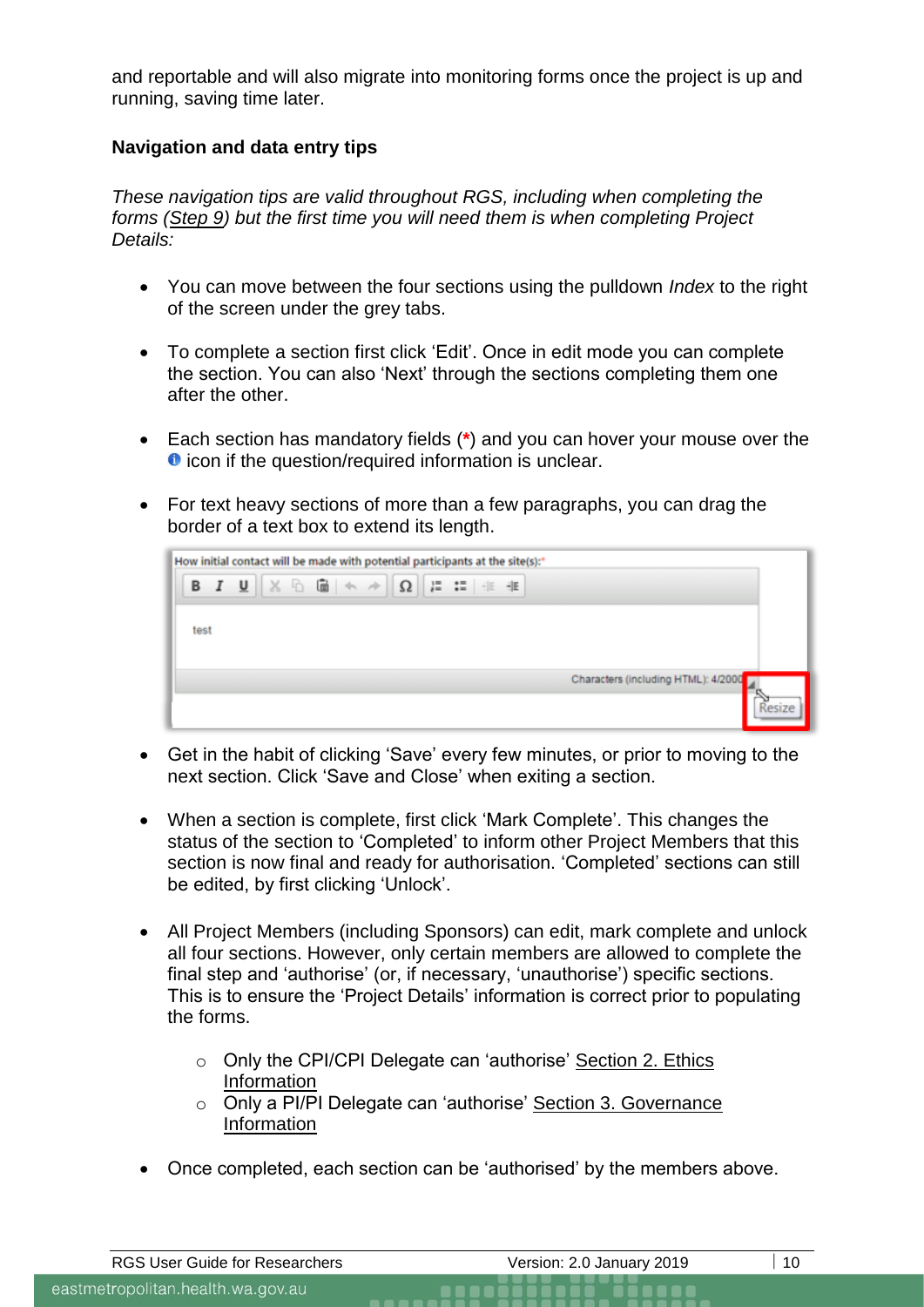and reportable and will also migrate into monitoring forms once the project is up and running, saving time later.

## **Navigation and data entry tips**

*These navigation tips are valid throughout RGS, including when completing the forms (Step 9) but the first time you will need them is when completing Project Details:*

- You can move between the four sections using the pulldown *Index* to the right of the screen under the grey tabs.
- To complete a section first click 'Edit'. Once in edit mode you can complete the section. You can also 'Next' through the sections completing them one after the other.
- Each section has mandatory fields (**\***) and you can hover your mouse over the **O** icon if the question/required information is unclear.
- For text heavy sections of more than a few paragraphs, you can drag the border of a text box to extend its length.

| <b>B</b> $I \perp \perp \parallel \times \text{A} \parallel \oplus \parallel \text{A} \rightarrow \parallel \Omega \parallel \downarrow = \text{I} \perp \parallel \oplus \parallel \text{B}$<br>test |                                     |
|-------------------------------------------------------------------------------------------------------------------------------------------------------------------------------------------------------|-------------------------------------|
|                                                                                                                                                                                                       |                                     |
|                                                                                                                                                                                                       |                                     |
|                                                                                                                                                                                                       |                                     |
|                                                                                                                                                                                                       | Characters (including HTML): 4/2000 |
|                                                                                                                                                                                                       |                                     |

- Get in the habit of clicking 'Save' every few minutes, or prior to moving to the next section. Click 'Save and Close' when exiting a section.
- When a section is complete, first click 'Mark Complete'. This changes the status of the section to 'Completed' to inform other Project Members that this section is now final and ready for authorisation. 'Completed' sections can still be edited, by first clicking 'Unlock'.
- All Project Members (including Sponsors) can edit, mark complete and unlock all four sections. However, only certain members are allowed to complete the final step and 'authorise' (or, if necessary, 'unauthorise') specific sections. This is to ensure the 'Project Details' information is correct prior to populating the forms.
	- o Only the CPI/CPI Delegate can 'authorise' Section 2. Ethics Information
	- o Only a PI/PI Delegate can 'authorise' Section 3. Governance Information
- Once completed, each section can be 'authorised' by the members above.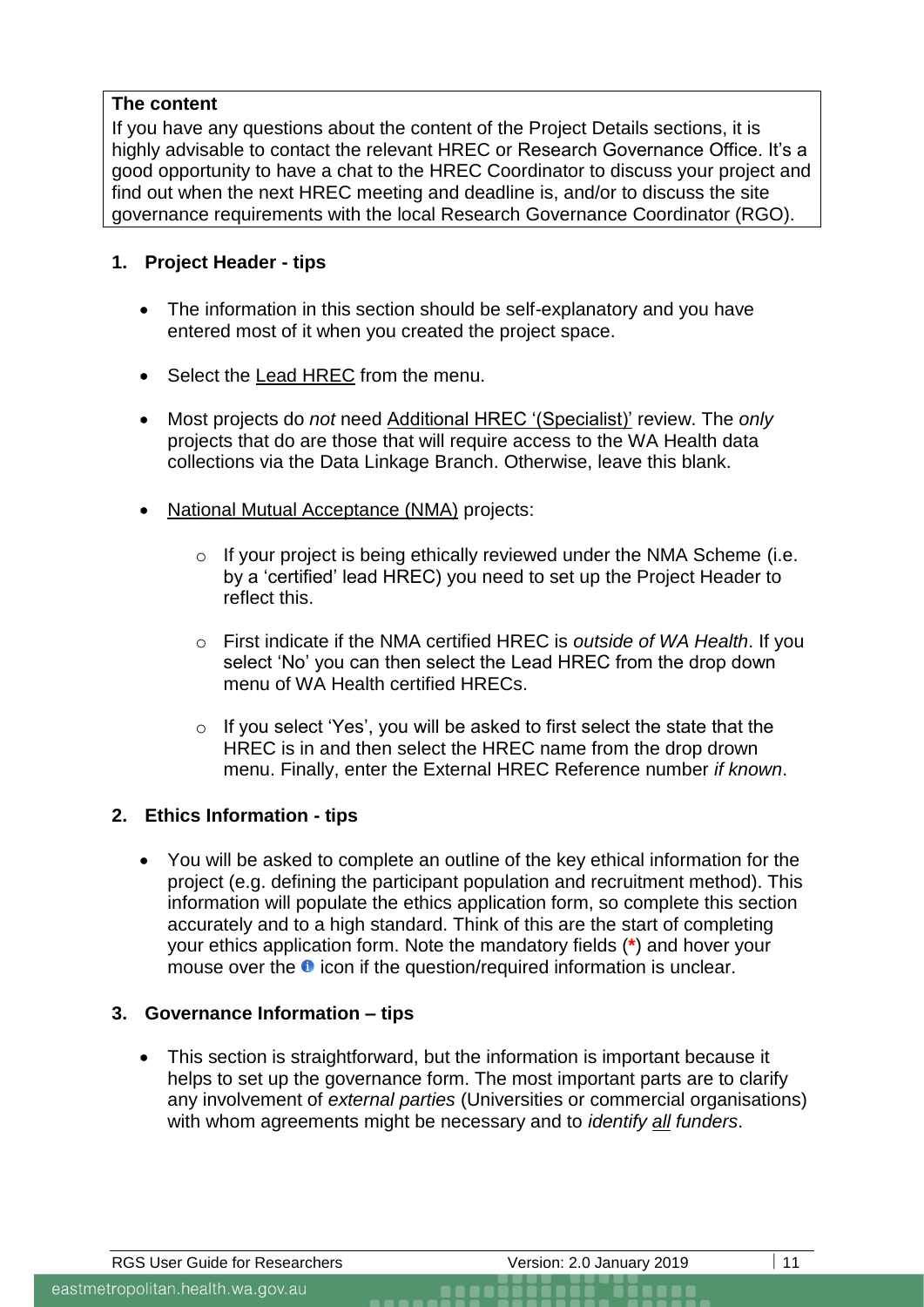## **The content**

If you have any questions about the content of the Project Details sections, it is highly advisable to contact the relevant HREC or Research Governance Office. It's a good opportunity to have a chat to the HREC Coordinator to discuss your project and find out when the next HREC meeting and deadline is, and/or to discuss the site governance requirements with the local Research Governance Coordinator (RGO).

## **1. Project Header - tips**

- The information in this section should be self-explanatory and you have entered most of it when you created the project space.
- Select the Lead HREC from the menu.
- Most projects do *not* need Additional HREC '(Specialist)' review. The *only* projects that do are those that will require access to the WA Health data collections via the Data Linkage Branch. Otherwise, leave this blank.
- National Mutual Acceptance (NMA) projects:
	- o If your project is being ethically reviewed under the NMA Scheme (i.e. by a 'certified' lead HREC) you need to set up the Project Header to reflect this.
	- o First indicate if the NMA certified HREC is *outside of WA Health*. If you select 'No' you can then select the Lead HREC from the drop down menu of WA Health certified HRECs.
	- o If you select 'Yes', you will be asked to first select the state that the HREC is in and then select the HREC name from the drop drown menu. Finally, enter the External HREC Reference number *if known*.

## **2. Ethics Information - tips**

• You will be asked to complete an outline of the key ethical information for the project (e.g. defining the participant population and recruitment method). This information will populate the ethics application form, so complete this section accurately and to a high standard. Think of this are the start of completing your ethics application form. Note the mandatory fields (**\***) and hover your mouse over the  $\bullet$  icon if the question/required information is unclear.

## **3. Governance Information – tips**

• This section is straightforward, but the information is important because it helps to set up the governance form. The most important parts are to clarify any involvement of *external parties* (Universities or commercial organisations) with whom agreements might be necessary and to *identify all funders*.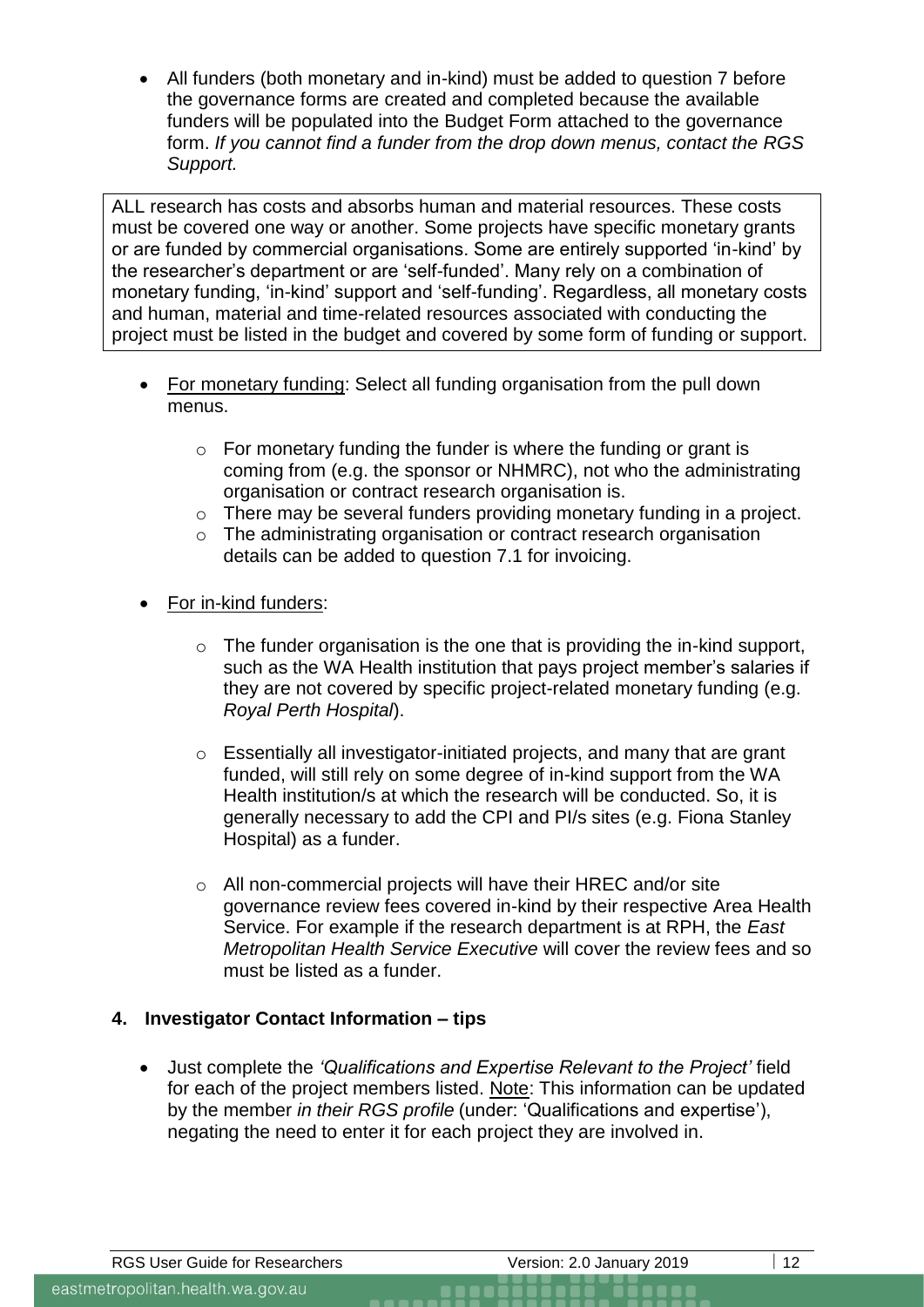• All funders (both monetary and in-kind) must be added to question 7 before the governance forms are created and completed because the available funders will be populated into the Budget Form attached to the governance form. *If you cannot find a funder from the drop down menus, contact the [RGS](mailto:RGS.Support@health.wa.gov.au)  [Support.](mailto:RGS.Support@health.wa.gov.au)*

ALL research has costs and absorbs human and material resources. These costs must be covered one way or another. Some projects have specific monetary grants or are funded by commercial organisations. Some are entirely supported 'in-kind' by the researcher's department or are 'self-funded'. Many rely on a combination of monetary funding, 'in-kind' support and 'self-funding'. Regardless, all monetary costs and human, material and time-related resources associated with conducting the project must be listed in the budget and covered by some form of funding or support.

- For monetary funding: Select all funding organisation from the pull down menus.
	- o For monetary funding the funder is where the funding or grant is coming from (e.g. the sponsor or NHMRC), not who the administrating organisation or contract research organisation is.
	- o There may be several funders providing monetary funding in a project.
	- o The administrating organisation or contract research organisation details can be added to question 7.1 for invoicing.
- For in-kind funders:
	- o The funder organisation is the one that is providing the in-kind support, such as the WA Health institution that pays project member's salaries if they are not covered by specific project-related monetary funding (e.g. *Royal Perth Hospital*).
	- o Essentially all investigator-initiated projects, and many that are grant funded, will still rely on some degree of in-kind support from the WA Health institution/s at which the research will be conducted. So, it is generally necessary to add the CPI and PI/s sites (e.g. Fiona Stanley Hospital) as a funder.
	- o All non-commercial projects will have their HREC and/or site governance review fees covered in-kind by their respective Area Health Service. For example if the research department is at RPH, the *East Metropolitan Health Service Executive* will cover the review fees and so must be listed as a funder.

## **4. Investigator Contact Information – tips**

• Just complete the *'Qualifications and Expertise Relevant to the Project'* field for each of the project members listed. Note: This information can be updated by the member *in their RGS profile* (under: 'Qualifications and expertise'), negating the need to enter it for each project they are involved in.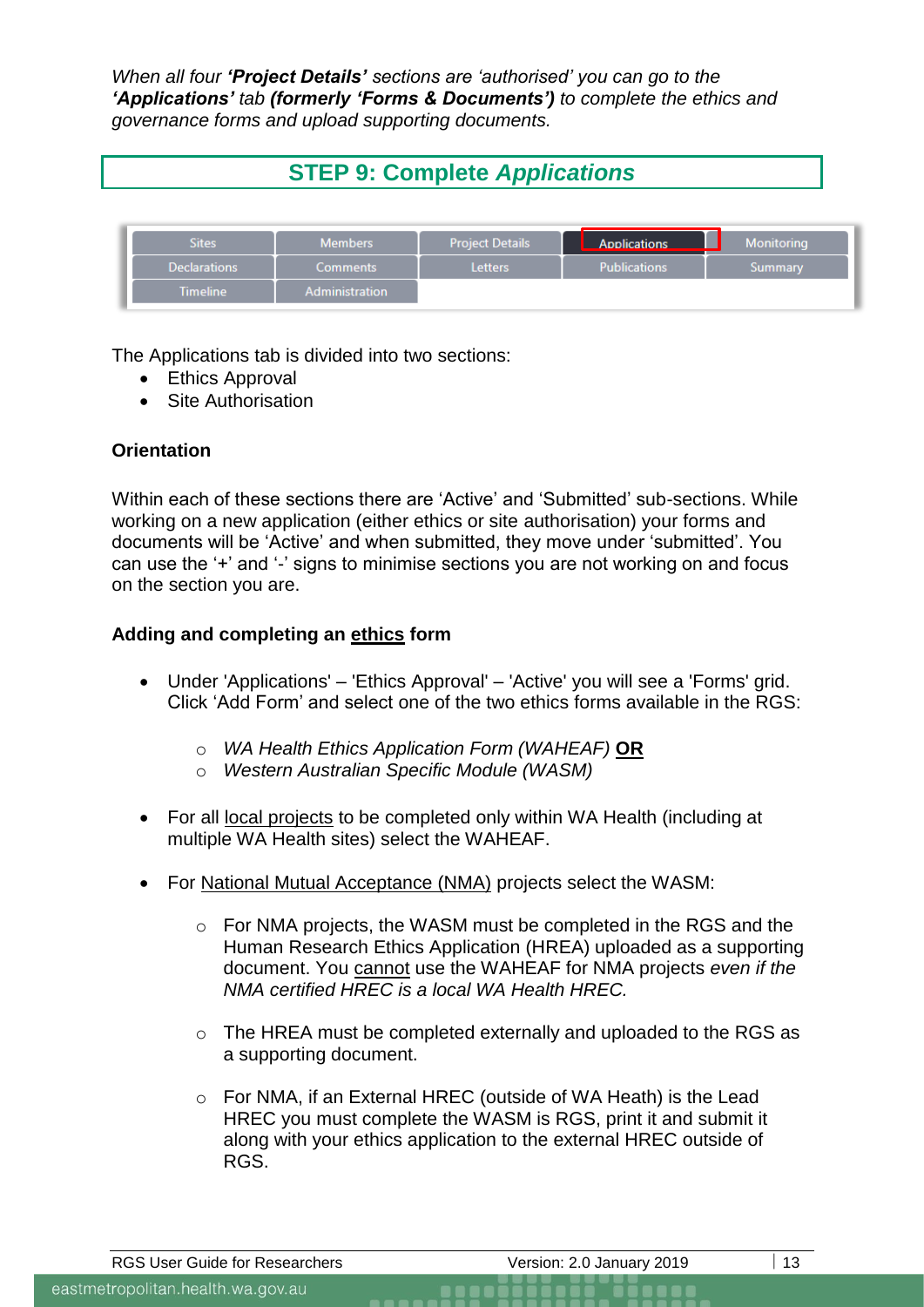*When all four 'Project Details' sections are 'authorised' you can go to the 'Applications' tab (formerly 'Forms & Documents') to complete the ethics and governance forms and upload supporting documents.*

# **STEP 9: Complete** *Applications*



The Applications tab is divided into two sections:

- **Ethics Approval**
- Site Authorisation

## **Orientation**

Within each of these sections there are 'Active' and 'Submitted' sub-sections. While working on a new application (either ethics or site authorisation) your forms and documents will be 'Active' and when submitted, they move under 'submitted'. You can use the '+' and '-' signs to minimise sections you are not working on and focus on the section you are.

## **Adding and completing an ethics form**

- Under 'Applications' 'Ethics Approval' 'Active' you will see a 'Forms' grid. Click 'Add Form' and select one of the two ethics forms available in the RGS:
	- o *WA Health Ethics Application Form (WAHEAF)* **OR**
	- o *Western Australian Specific Module (WASM)*
- For all local projects to be completed only within WA Health (including at multiple WA Health sites) select the WAHEAF.
- For National Mutual Acceptance (NMA) projects select the WASM:
	- o For NMA projects, the WASM must be completed in the RGS and the Human Research Ethics Application (HREA) uploaded as a supporting document. You cannot use the WAHEAF for NMA projects *even if the NMA certified HREC is a local WA Health HREC.*
	- $\circ$  The [HREA](https://hrea.gov.au/) must be completed externally and uploaded to the RGS as a supporting document.
	- o For NMA, if an External HREC (outside of WA Heath) is the Lead HREC you must complete the WASM is RGS, print it and submit it along with your ethics application to the external HREC outside of RGS.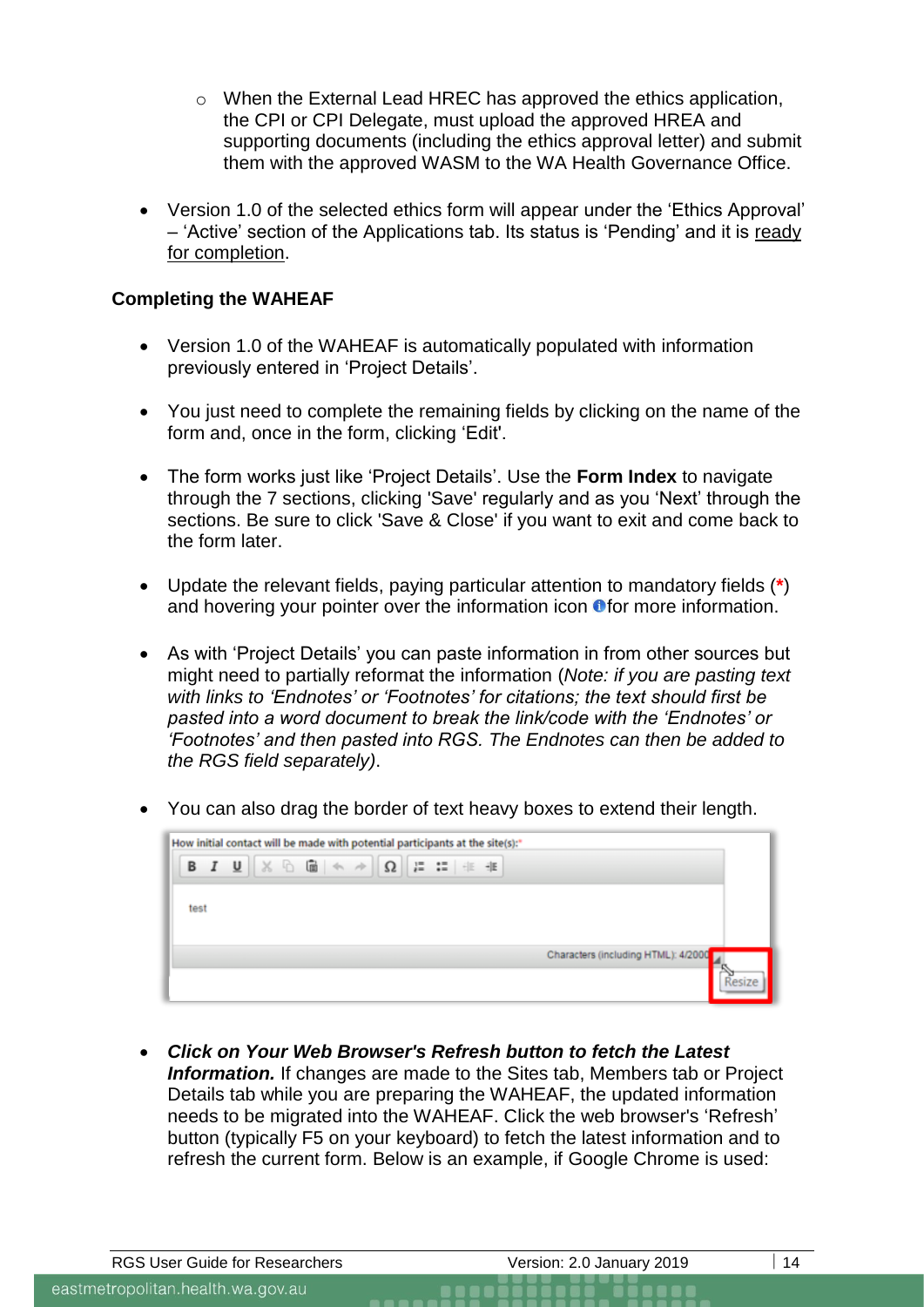- o When the External Lead HREC has approved the ethics application, the CPI or CPI Delegate, must upload the approved HREA and supporting documents (including the ethics approval letter) and submit them with the approved WASM to the WA Health Governance Office.
- Version 1.0 of the selected ethics form will appear under the 'Ethics Approval' – 'Active' section of the Applications tab. Its status is 'Pending' and it is ready for completion.

#### **Completing the WAHEAF**

- Version 1.0 of the WAHEAF is automatically populated with information previously entered in 'Project Details'.
- You just need to complete the remaining fields by clicking on the name of the form and, once in the form, clicking 'Edit'.
- The form works just like 'Project Details'. Use the **Form Index** to navigate through the 7 sections, clicking 'Save' regularly and as you 'Next' through the sections. Be sure to click 'Save & Close' if you want to exit and come back to the form later.
- Update the relevant fields, paying particular attention to mandatory fields (**\***) and hovering your pointer over the information icon  $\bullet$  for more information.
- As with 'Project Details' you can paste information in from other sources but might need to partially reformat the information (*Note: if you are pasting text with links to 'Endnotes' or 'Footnotes' for citations; the text should first be pasted into a word document to break the link/code with the 'Endnotes' or 'Footnotes' and then pasted into RGS. The Endnotes can then be added to the RGS field separately)*.
- You can also drag the border of text heavy boxes to extend their length.

| How initial contact will be made with potential participants at the site(s):*                                                                                                    |  |
|----------------------------------------------------------------------------------------------------------------------------------------------------------------------------------|--|
| <b>B</b> $I \perp \perp \parallel \times \text{A} \parallel \text{A} \rightarrow \parallel \Omega \parallel \text{E} \perp \parallel \text{E} \parallel \text{E} \perp \text{E}$ |  |
|                                                                                                                                                                                  |  |
| test                                                                                                                                                                             |  |
|                                                                                                                                                                                  |  |
| Characters (including HTML): 4/2000                                                                                                                                              |  |
|                                                                                                                                                                                  |  |

• *Click on Your Web Browser's Refresh button to fetch the Latest*  **Information.** If changes are made to the Sites tab, Members tab or Project Details tab while you are preparing the WAHEAF, the updated information needs to be migrated into the WAHEAF. Click the web browser's 'Refresh' button (typically F5 on your keyboard) to fetch the latest information and to refresh the current form. Below is an example, if Google Chrome is used: